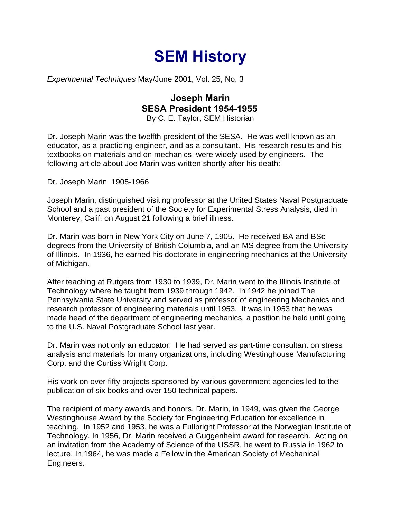## **SEM History**

*Experimental Techniques* May/June 2001, Vol. 25, No. 3

## **Joseph Marin SESA President 1954-1955**

By C. E. Taylor, SEM Historian

Dr. Joseph Marin was the twelfth president of the SESA. He was well known as an educator, as a practicing engineer, and as a consultant. His research results and his textbooks on materials and on mechanics were widely used by engineers. The following article about Joe Marin was written shortly after his death:

Dr. Joseph Marin 1905-1966

Joseph Marin, distinguished visiting professor at the United States Naval Postgraduate School and a past president of the Society for Experimental Stress Analysis, died in Monterey, Calif. on August 21 following a brief illness.

Dr. Marin was born in New York City on June 7, 1905. He received BA and BSc degrees from the University of British Columbia, and an MS degree from the University of Illinois. In 1936, he earned his doctorate in engineering mechanics at the University of Michigan.

After teaching at Rutgers from 1930 to 1939, Dr. Marin went to the Illinois Institute of Technology where he taught from 1939 through 1942. In 1942 he joined The Pennsylvania State University and served as professor of engineering Mechanics and research professor of engineering materials until 1953. It was in 1953 that he was made head of the department of engineering mechanics, a position he held until going to the U.S. Naval Postgraduate School last year.

Dr. Marin was not only an educator. He had served as part-time consultant on stress analysis and materials for many organizations, including Westinghouse Manufacturing Corp. and the Curtiss Wright Corp.

His work on over fifty projects sponsored by various government agencies led to the publication of six books and over 150 technical papers.

The recipient of many awards and honors, Dr. Marin, in 1949, was given the George Westinghouse Award by the Society for Engineering Education for excellence in teaching. In 1952 and 1953, he was a Fullbright Professor at the Norwegian Institute of Technology. In 1956, Dr. Marin received a Guggenheim award for research. Acting on an invitation from the Academy of Science of the USSR, he went to Russia in 1962 to lecture. In 1964, he was made a Fellow in the American Society of Mechanical Engineers.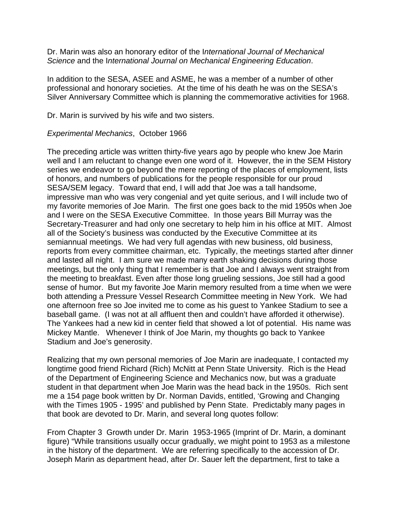Dr. Marin was also an honorary editor of the I*nternational Journal of Mechanical Science* and the I*nternational Journal on Mechanical Engineering Education*.

In addition to the SESA, ASEE and ASME, he was a member of a number of other professional and honorary societies. At the time of his death he was on the SESA's Silver Anniversary Committee which is planning the commemorative activities for 1968.

Dr. Marin is survived by his wife and two sisters.

## *Experimental Mechanics*, October 1966

The preceding article was written thirty-five years ago by people who knew Joe Marin well and I am reluctant to change even one word of it. However, the in the SEM History series we endeavor to go beyond the mere reporting of the places of employment, lists of honors, and numbers of publications for the people responsible for our proud SESA/SEM legacy. Toward that end, I will add that Joe was a tall handsome, impressive man who was very congenial and yet quite serious, and I will include two of my favorite memories of Joe Marin. The first one goes back to the mid 1950s when Joe and I were on the SESA Executive Committee. In those years Bill Murray was the Secretary-Treasurer and had only one secretary to help him in his office at MIT. Almost all of the Society's business was conducted by the Executive Committee at its semiannual meetings. We had very full agendas with new business, old business, reports from every committee chairman, etc. Typically, the meetings started after dinner and lasted all night. I am sure we made many earth shaking decisions during those meetings, but the only thing that I remember is that Joe and I always went straight from the meeting to breakfast. Even after those long grueling sessions, Joe still had a good sense of humor. But my favorite Joe Marin memory resulted from a time when we were both attending a Pressure Vessel Research Committee meeting in New York. We had one afternoon free so Joe invited me to come as his guest to Yankee Stadium to see a baseball game. (I was not at all affluent then and couldn't have afforded it otherwise). The Yankees had a new kid in center field that showed a lot of potential. His name was Mickey Mantle. Whenever I think of Joe Marin, my thoughts go back to Yankee Stadium and Joe's generosity.

Realizing that my own personal memories of Joe Marin are inadequate, I contacted my longtime good friend Richard (Rich) McNitt at Penn State University. Rich is the Head of the Department of Engineering Science and Mechanics now, but was a graduate student in that department when Joe Marin was the head back in the 1950s. Rich sent me a 154 page book written by Dr. Norman Davids, entitled, 'Growing and Changing with the Times 1905 - 1995' and published by Penn State. Predictably many pages in that book are devoted to Dr. Marin, and several long quotes follow:

From Chapter 3 Growth under Dr. Marin 1953-1965 (Imprint of Dr. Marin, a dominant figure) "While transitions usually occur gradually, we might point to 1953 as a milestone in the history of the department. We are referring specifically to the accession of Dr. Joseph Marin as department head, after Dr. Sauer left the department, first to take a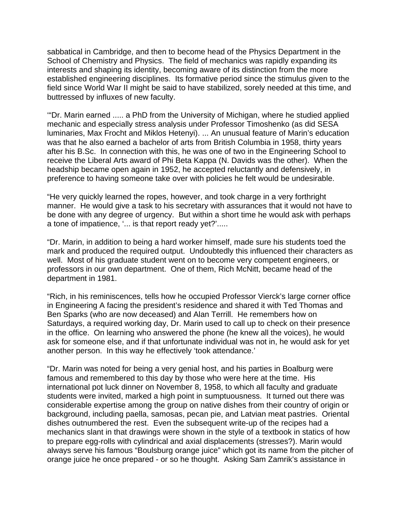sabbatical in Cambridge, and then to become head of the Physics Department in the School of Chemistry and Physics. The field of mechanics was rapidly expanding its interests and shaping its identity, becoming aware of its distinction from the more established engineering disciplines. Its formative period since the stimulus given to the field since World War II might be said to have stabilized, sorely needed at this time, and buttressed by influxes of new faculty.

'"Dr. Marin earned ..... a PhD from the University of Michigan, where he studied applied mechanic and especially stress analysis under Professor Timoshenko (as did SESA luminaries, Max Frocht and Miklos Hetenyi). ... An unusual feature of Marin's education was that he also earned a bachelor of arts from British Columbia in 1958, thirty years after his B.Sc. In connection with this, he was one of two in the Engineering School to receive the Liberal Arts award of Phi Beta Kappa (N. Davids was the other). When the headship became open again in 1952, he accepted reluctantly and defensively, in preference to having someone take over with policies he felt would be undesirable.

"He very quickly learned the ropes, however, and took charge in a very forthright manner. He would give a task to his secretary with assurances that it would not have to be done with any degree of urgency. But within a short time he would ask with perhaps a tone of impatience, '... is that report ready yet?'.....

"Dr. Marin, in addition to being a hard worker himself, made sure his students toed the mark and produced the required output. Undoubtedly this influenced their characters as well. Most of his graduate student went on to become very competent engineers, or professors in our own department. One of them, Rich McNitt, became head of the department in 1981.

"Rich, in his reminiscences, tells how he occupied Professor Vierck's large corner office in Engineering A facing the president's residence and shared it with Ted Thomas and Ben Sparks (who are now deceased) and Alan Terrill. He remembers how on Saturdays, a required working day, Dr. Marin used to call up to check on their presence in the office. On learning who answered the phone (he knew all the voices), he would ask for someone else, and if that unfortunate individual was not in, he would ask for yet another person. In this way he effectively 'took attendance.'

"Dr. Marin was noted for being a very genial host, and his parties in Boalburg were famous and remembered to this day by those who were here at the time. His international pot luck dinner on November 8, 1958, to which all faculty and graduate students were invited, marked a high point in sumptuousness. It turned out there was considerable expertise among the group on native dishes from their country of origin or background, including paella, samosas, pecan pie, and Latvian meat pastries. Oriental dishes outnumbered the rest. Even the subsequent write-up of the recipes had a mechanics slant in that drawings were shown in the style of a textbook in statics of how to prepare egg-rolls with cylindrical and axial displacements (stresses?). Marin would always serve his famous "Boulsburg orange juice" which got its name from the pitcher of orange juice he once prepared - or so he thought. Asking Sam Zamrik's assistance in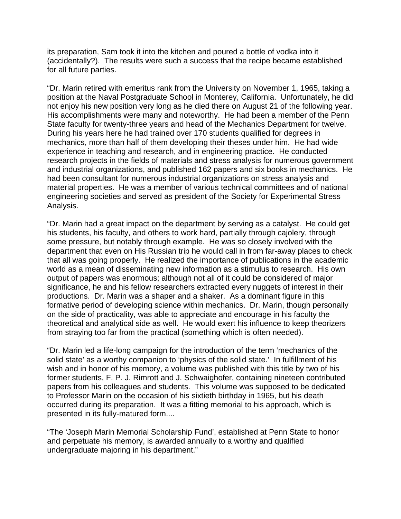its preparation, Sam took it into the kitchen and poured a bottle of vodka into it (accidentally?). The results were such a success that the recipe became established for all future parties.

"Dr. Marin retired with emeritus rank from the University on November 1, 1965, taking a position at the Naval Postgraduate School in Monterey, California. Unfortunately, he did not enjoy his new position very long as he died there on August 21 of the following year. His accomplishments were many and noteworthy. He had been a member of the Penn State faculty for twenty-three years and head of the Mechanics Department for twelve. During his years here he had trained over 170 students qualified for degrees in mechanics, more than half of them developing their theses under him. He had wide experience in teaching and research, and in engineering practice. He conducted research projects in the fields of materials and stress analysis for numerous government and industrial organizations, and published 162 papers and six books in mechanics. He had been consultant for numerous industrial organizations on stress analysis and material properties. He was a member of various technical committees and of national engineering societies and served as president of the Society for Experimental Stress Analysis.

"Dr. Marin had a great impact on the department by serving as a catalyst. He could get his students, his faculty, and others to work hard, partially through cajolery, through some pressure, but notably through example. He was so closely involved with the department that even on His Russian trip he would call in from far-away places to check that all was going properly. He realized the importance of publications in the academic world as a mean of disseminating new information as a stimulus to research. His own output of papers was enormous; although not all of it could be considered of major significance, he and his fellow researchers extracted every nuggets of interest in their productions. Dr. Marin was a shaper and a shaker. As a dominant figure in this formative period of developing science within mechanics. Dr. Marin, though personally on the side of practicality, was able to appreciate and encourage in his faculty the theoretical and analytical side as well. He would exert his influence to keep theorizers from straying too far from the practical (something which is often needed).

"Dr. Marin led a life-long campaign for the introduction of the term 'mechanics of the solid state' as a worthy companion to 'physics of the solid state.' In fulfillment of his wish and in honor of his memory, a volume was published with this title by two of his former students, F. P. J. Rimrott and J. Schwaighofer, containing nineteen contributed papers from his colleagues and students. This volume was supposed to be dedicated to Professor Marin on the occasion of his sixtieth birthday in 1965, but his death occurred during its preparation. It was a fitting memorial to his approach, which is presented in its fully-matured form....

"The 'Joseph Marin Memorial Scholarship Fund', established at Penn State to honor and perpetuate his memory, is awarded annually to a worthy and qualified undergraduate majoring in his department."